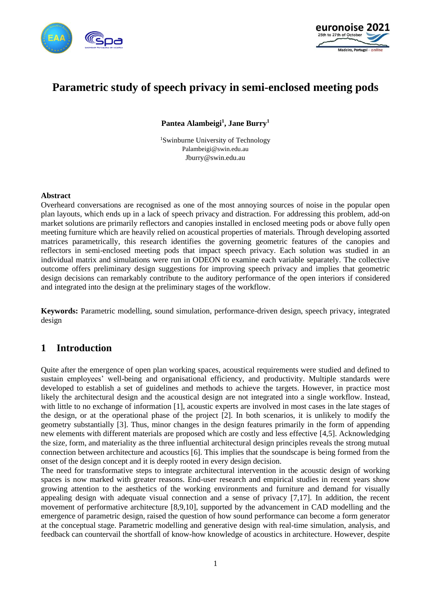



# **Parametric study of speech privacy in semi-enclosed meeting pods**

**Pantea Alambeigi<sup>1</sup> , Jane Burry<sup>1</sup>**

<sup>1</sup>Swinburne University of Technology Palambeigi@swin.edu.au Jburry@swin.edu.au

#### **Abstract**

Overheard conversations are recognised as one of the most annoying sources of noise in the popular open plan layouts, which ends up in a lack of speech privacy and distraction. For addressing this problem, add-on market solutions are primarily reflectors and canopies installed in enclosed meeting pods or above fully open meeting furniture which are heavily relied on acoustical properties of materials. Through developing assorted matrices parametrically, this research identifies the governing geometric features of the canopies and reflectors in semi-enclosed meeting pods that impact speech privacy. Each solution was studied in an individual matrix and simulations were run in ODEON to examine each variable separately. The collective outcome offers preliminary design suggestions for improving speech privacy and implies that geometric design decisions can remarkably contribute to the auditory performance of the open interiors if considered and integrated into the design at the preliminary stages of the workflow.

**Keywords:** Parametric modelling, sound simulation, performance-driven design, speech privacy, integrated design

## **1 Introduction**

Quite after the emergence of open plan working spaces, acoustical requirements were studied and defined to sustain employees' well-being and organisational efficiency, and productivity. Multiple standards were developed to establish a set of guidelines and methods to achieve the targets. However, in practice most likely the architectural design and the acoustical design are not integrated into a single workflow. Instead, with little to no exchange of information [1], acoustic experts are involved in most cases in the late stages of the design, or at the operational phase of the project [2]. In both scenarios, it is unlikely to modify the geometry substantially [3]. Thus, minor changes in the design features primarily in the form of appending new elements with different materials are proposed which are costly and less effective [4,5]. Acknowledging the size, form, and materiality as the three influential architectural design principles reveals the strong mutual connection between architecture and acoustics [6]. This implies that the soundscape is being formed from the onset of the design concept and it is deeply rooted in every design decision.

The need for transformative steps to integrate architectural intervention in the acoustic design of working spaces is now marked with greater reasons. End-user research and empirical studies in recent years show growing attention to the aesthetics of the working environments and furniture and demand for visually appealing design with adequate visual connection and a sense of privacy [7,17]. In addition, the recent movement of performative architecture [8,9,10], supported by the advancement in CAD modelling and the emergence of parametric design, raised the question of how sound performance can become a form generator at the conceptual stage. Parametric modelling and generative design with real-time simulation, analysis, and feedback can countervail the shortfall of know-how knowledge of acoustics in architecture. However, despite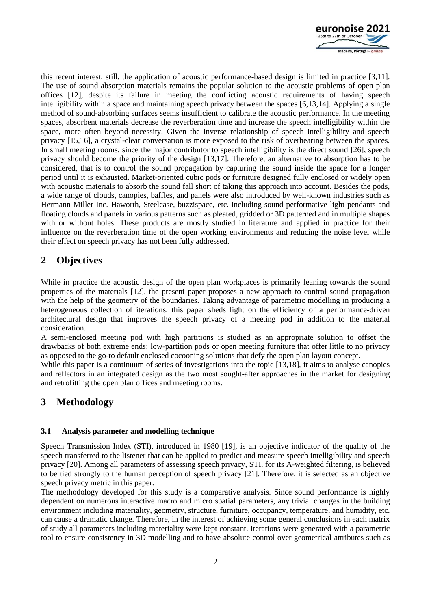

this recent interest, still, the application of acoustic performance-based design is limited in practice [3,11]. The use of sound absorption materials remains the popular solution to the acoustic problems of open plan offices [12], despite its failure in meeting the conflicting acoustic requirements of having speech intelligibility within a space and maintaining speech privacy between the spaces [6,13,14]. Applying a single method of sound-absorbing surfaces seems insufficient to calibrate the acoustic performance. In the meeting spaces, absorbent materials decrease the reverberation time and increase the speech intelligibility within the space, more often beyond necessity. Given the inverse relationship of speech intelligibility and speech privacy [15,16], a crystal-clear conversation is more exposed to the risk of overhearing between the spaces. In small meeting rooms, since the major contributor to speech intelligibility is the direct sound [26], speech privacy should become the priority of the design [13,17]. Therefore, an alternative to absorption has to be considered, that is to control the sound propagation by capturing the sound inside the space for a longer period until it is exhausted. Market-oriented cubic pods or furniture designed fully enclosed or widely open with acoustic materials to absorb the sound fall short of taking this approach into account. Besides the pods, a wide range of clouds, canopies, baffles, and panels were also introduced by well-known industries such as Hermann Miller Inc. Haworth, Steelcase, buzzispace, etc. including sound performative light pendants and floating clouds and panels in various patterns such as pleated, gridded or 3D patterned and in multiple shapes with or without holes. These products are mostly studied in literature and applied in practice for their influence on the reverberation time of the open working environments and reducing the noise level while their effect on speech privacy has not been fully addressed.

# **2 Objectives**

While in practice the acoustic design of the open plan workplaces is primarily leaning towards the sound properties of the materials [12], the present paper proposes a new approach to control sound propagation with the help of the geometry of the boundaries. Taking advantage of parametric modelling in producing a heterogeneous collection of iterations, this paper sheds light on the efficiency of a performance-driven architectural design that improves the speech privacy of a meeting pod in addition to the material consideration.

A semi-enclosed meeting pod with high partitions is studied as an appropriate solution to offset the drawbacks of both extreme ends: low-partition pods or open meeting furniture that offer little to no privacy as opposed to the go-to default enclosed cocooning solutions that defy the open plan layout concept.

While this paper is a continuum of series of investigations into the topic [13,18], it aims to analyse canopies and reflectors in an integrated design as the two most sought-after approaches in the market for designing and retrofitting the open plan offices and meeting rooms.

# **3 Methodology**

#### **3.1 Analysis parameter and modelling technique**

Speech Transmission Index (STI), introduced in 1980 [19], is an objective indicator of the quality of the speech transferred to the listener that can be applied to predict and measure speech intelligibility and speech privacy [20]. Among all parameters of assessing speech privacy, STI, for its A-weighted filtering, is believed to be tied strongly to the human perception of speech privacy [21]. Therefore, it is selected as an objective speech privacy metric in this paper.

The methodology developed for this study is a comparative analysis. Since sound performance is highly dependent on numerous interactive macro and micro spatial parameters, any trivial changes in the building environment including materiality, geometry, structure, furniture, occupancy, temperature, and humidity, etc. can cause a dramatic change. Therefore, in the interest of achieving some general conclusions in each matrix of study all parameters including materiality were kept constant. Iterations were generated with a parametric tool to ensure consistency in 3D modelling and to have absolute control over geometrical attributes such as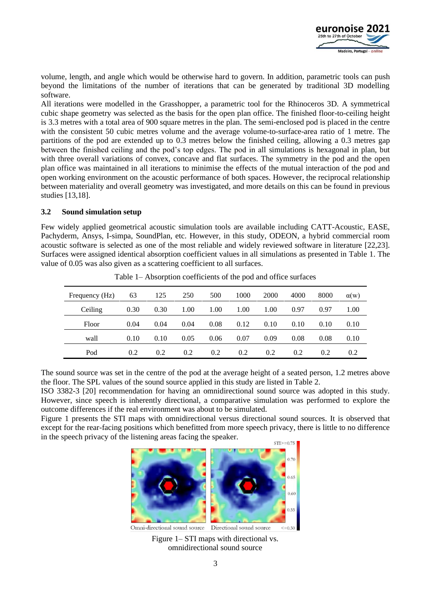

volume, length, and angle which would be otherwise hard to govern. In addition, parametric tools can push beyond the limitations of the number of iterations that can be generated by traditional 3D modelling software.

All iterations were modelled in the Grasshopper, a parametric tool for the Rhinoceros 3D. A symmetrical cubic shape geometry was selected as the basis for the open plan office. The finished floor-to-ceiling height is 3.3 metres with a total area of 900 square metres in the plan. The semi-enclosed pod is placed in the centre with the consistent 50 cubic metres volume and the average volume-to-surface-area ratio of 1 metre. The partitions of the pod are extended up to 0.3 metres below the finished ceiling, allowing a 0.3 metres gap between the finished ceiling and the pod's top edges. The pod in all simulations is hexagonal in plan, but with three overall variations of convex, concave and flat surfaces. The symmetry in the pod and the open plan office was maintained in all iterations to minimise the effects of the mutual interaction of the pod and open working environment on the acoustic performance of both spaces. However, the reciprocal relationship between materiality and overall geometry was investigated, and more details on this can be found in previous studies [13,18].

#### **3.2 Sound simulation setup**

Few widely applied geometrical acoustic simulation tools are available including CATT-Acoustic, EASE, Pachyderm, Ansys, I-simpa, SoundPlan, etc. However, in this study, ODEON, a hybrid commercial room acoustic software is selected as one of the most reliable and widely reviewed software in literature [22,23]. Surfaces were assigned identical absorption coefficient values in all simulations as presented in Table 1. The value of 0.05 was also given as a scattering coefficient to all surfaces.

| Frequency (Hz) | 63   | 125  | 250  | 500  | 1000 | 2000 | 4000 | 8000 | $\alpha(w)$ |
|----------------|------|------|------|------|------|------|------|------|-------------|
| Ceiling        | 0.30 | 0.30 | 1.00 | 1.00 | 1.00 | 1.00 | 0.97 | 0.97 | 1.00        |
| Floor          | 0.04 | 0.04 | 0.04 | 0.08 | 0.12 | 0.10 | 0.10 | 0.10 | 0.10        |
| wall           | 0.10 | 0.10 | 0.05 | 0.06 | 0.07 | 0.09 | 0.08 | 0.08 | 0.10        |
| Pod            | 0.2  | 0.2  | 0.2  | 0.2  | 0.2  | 0.2  | 0.2  | 0.2  | 0.2         |

Table 1– Absorption coefficients of the pod and office surfaces

The sound source was set in the centre of the pod at the average height of a seated person, 1.2 metres above the floor. The SPL values of the sound source applied in this study are listed in Table 2.

ISO 3382-3 [20] recommendation for having an omnidirectional sound source was adopted in this study. However, since speech is inherently directional, a comparative simulation was performed to explore the outcome differences if the real environment was about to be simulated.

Figure 1 presents the STI maps with omnidirectional versus directional sound sources. It is observed that except for the rear-facing positions which benefitted from more speech privacy, there is little to no difference in the speech privacy of the listening areas facing the speaker.



Figure 1– STI maps with directional vs. omnidirectional sound source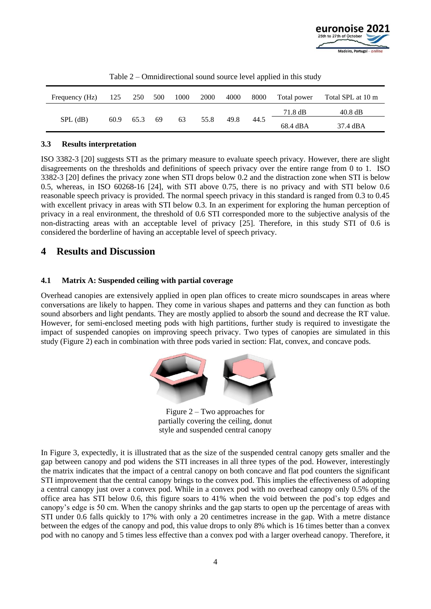

| Frequency (Hz) | 125  | 250  | 500 | 1000 | 2000 | 4000 | 8000 | Total power | Total SPL at 10 m |
|----------------|------|------|-----|------|------|------|------|-------------|-------------------|
| $SPL$ (dB)     | 60.9 | 65.3 | -69 | 63   | 55.8 | 49.8 | 44.5 | 71.8 dB     | $40.8 \text{ dB}$ |
|                |      |      |     |      |      |      |      | 68.4 dBA    | 37.4 dBA          |

Table 2 – Omnidirectional sound source level applied in this study

#### **3.3 Results interpretation**

ISO 3382-3 [20] suggests STI as the primary measure to evaluate speech privacy. However, there are slight disagreements on the thresholds and definitions of speech privacy over the entire range from 0 to 1. ISO 3382-3 [20] defines the privacy zone when STI drops below 0.2 and the distraction zone when STI is below 0.5, whereas, in ISO 60268-16 [24], with STI above 0.75, there is no privacy and with STI below 0.6 reasonable speech privacy is provided. The normal speech privacy in this standard is ranged from 0.3 to 0.45 with excellent privacy in areas with STI below 0.3. In an experiment for exploring the human perception of privacy in a real environment, the threshold of 0.6 STI corresponded more to the subjective analysis of the non-distracting areas with an acceptable level of privacy [25]. Therefore, in this study STI of 0.6 is considered the borderline of having an acceptable level of speech privacy.

## **4 Results and Discussion**

### **4.1 Matrix A: Suspended ceiling with partial coverage**

Overhead canopies are extensively applied in open plan offices to create micro soundscapes in areas where conversations are likely to happen. They come in various shapes and patterns and they can function as both sound absorbers and light pendants. They are mostly applied to absorb the sound and decrease the RT value. However, for semi-enclosed meeting pods with high partitions, further study is required to investigate the impact of suspended canopies on improving speech privacy. Two types of canopies are simulated in this study (Figure 2) each in combination with three pods varied in section: Flat, convex, and concave pods.



Figure 2 – Two approaches for partially covering the ceiling, donut style and suspended central canopy

In Figure 3, expectedly, it is illustrated that as the size of the suspended central canopy gets smaller and the gap between canopy and pod widens the STI increases in all three types of the pod. However, interestingly the matrix indicates that the impact of a central canopy on both concave and flat pod counters the significant STI improvement that the central canopy brings to the convex pod. This implies the effectiveness of adopting a central canopy just over a convex pod. While in a convex pod with no overhead canopy only 0.5% of the office area has STI below 0.6, this figure soars to 41% when the void between the pod's top edges and canopy's edge is 50 cm. When the canopy shrinks and the gap starts to open up the percentage of areas with STI under 0.6 falls quickly to 17% with only a 20 centimetres increase in the gap. With a metre distance between the edges of the canopy and pod, this value drops to only 8% which is 16 times better than a convex pod with no canopy and 5 times less effective than a convex pod with a larger overhead canopy. Therefore, it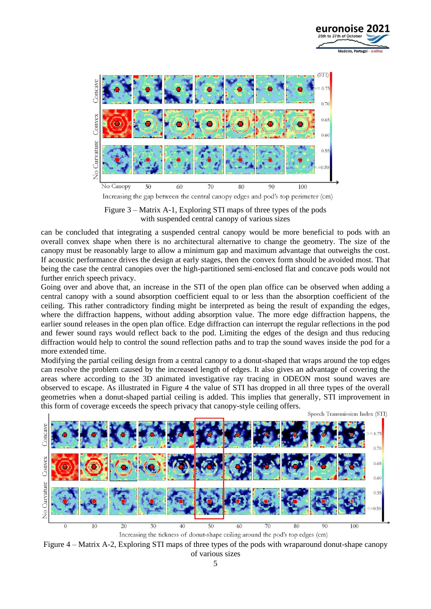



Figure 3 – Matrix A-1, Exploring STI maps of three types of the pods with suspended central canopy of various sizes

can be concluded that integrating a suspended central canopy would be more beneficial to pods with an overall convex shape when there is no architectural alternative to change the geometry. The size of the canopy must be reasonably large to allow a minimum gap and maximum advantage that outweighs the cost. If acoustic performance drives the design at early stages, then the convex form should be avoided most. That being the case the central canopies over the high-partitioned semi-enclosed flat and concave pods would not further enrich speech privacy.

Going over and above that, an increase in the STI of the open plan office can be observed when adding a central canopy with a sound absorption coefficient equal to or less than the absorption coefficient of the ceiling. This rather contradictory finding might be interpreted as being the result of expanding the edges, where the diffraction happens, without adding absorption value. The more edge diffraction happens, the earlier sound releases in the open plan office. Edge diffraction can interrupt the regular reflections in the pod and fewer sound rays would reflect back to the pod. Limiting the edges of the design and thus reducing diffraction would help to control the sound reflection paths and to trap the sound waves inside the pod for a more extended time.

Modifying the partial ceiling design from a central canopy to a donut-shaped that wraps around the top edges can resolve the problem caused by the increased length of edges. It also gives an advantage of covering the areas where according to the 3D animated investigative ray tracing in ODEON most sound waves are observed to escape. As illustrated in Figure 4 the value of STI has dropped in all three types of the overall geometries when a donut-shaped partial ceiling is added. This implies that generally, STI improvement in this form of coverage exceeds the speech privacy that canopy-style ceiling offers.



Increasing the tickness of donut-shape ceiling around the pod's top edges (cm)

Figure 4 – Matrix A-2, Exploring STI maps of three types of the pods with wraparound donut-shape canopy of various sizes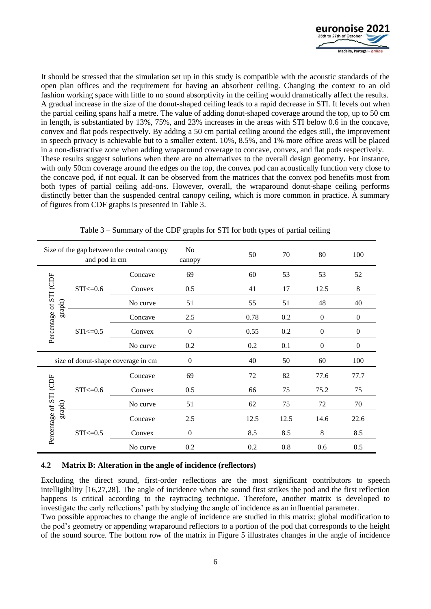

It should be stressed that the simulation set up in this study is compatible with the acoustic standards of the open plan offices and the requirement for having an absorbent ceiling. Changing the context to an old fashion working space with little to no sound absorptivity in the ceiling would dramatically affect the results. A gradual increase in the size of the donut-shaped ceiling leads to a rapid decrease in STI. It levels out when the partial ceiling spans half a metre. The value of adding donut-shaped coverage around the top, up to 50 cm in length, is substantiated by 13%, 75%, and 23% increases in the areas with STI below 0.6 in the concave, convex and flat pods respectively. By adding a 50 cm partial ceiling around the edges still, the improvement in speech privacy is achievable but to a smaller extent. 10%, 8.5%, and 1% more office areas will be placed in a non-distractive zone when adding wraparound coverage to concave, convex, and flat pods respectively. These results suggest solutions when there are no alternatives to the overall design geometry. For instance, with only 50cm coverage around the edges on the top, the convex pod can acoustically function very close to the concave pod, if not equal. It can be observed from the matrices that the convex pod benefits most from both types of partial ceiling add-ons. However, overall, the wraparound donut-shape ceiling performs distinctly better than the suspended central canopy ceiling, which is more common in practice. A summary of figures from CDF graphs is presented in Table 3.

| Size of the gap between the central canopy<br>and pod in cm                 |               |          | N <sub>0</sub><br>canopy | 50   | 70   | 80               | 100          |
|-----------------------------------------------------------------------------|---------------|----------|--------------------------|------|------|------------------|--------------|
| Percentage of STI (CDF<br>$\mbox{graph})$                                   |               | Concave  | 69                       | 60   | 53   | 53               | 52           |
|                                                                             | $STI < = 0.6$ | Convex   | 0.5                      | 41   | 17   | 12.5             | 8            |
|                                                                             |               | No curve | 51                       | 55   | 51   | 48               | 40           |
|                                                                             |               | Concave  | 2.5                      | 0.78 | 0.2  | $\overline{0}$   | $\mathbf{0}$ |
|                                                                             | $STI \le 0.5$ | Convex   | $\overline{0}$           | 0.55 | 0.2  | $\overline{0}$   | $\mathbf{0}$ |
|                                                                             |               | No curve | 0.2                      | 0.2  | 0.1  | $\boldsymbol{0}$ | $\mathbf{0}$ |
| size of donut-shape coverage in cm                                          |               |          | $\boldsymbol{0}$         | 40   | 50   | 60               | 100          |
| Percentage of STI (CDF<br>$STI < = 0.6$<br>$\mbox{graph})$<br>$STI < = 0.5$ |               | Concave  | 69                       | 72   | 82   | 77.6             | 77.7         |
|                                                                             |               | Convex   | 0.5                      | 66   | 75   | 75.2             | 75           |
|                                                                             |               | No curve | 51                       | 62   | 75   | 72               | 70           |
|                                                                             |               | Concave  | 2.5                      | 12.5 | 12.5 | 14.6             | 22.6         |
|                                                                             |               | Convex   | $\theta$                 | 8.5  | 8.5  | 8                | 8.5          |
|                                                                             |               | No curve | 0.2                      | 0.2  | 0.8  | 0.6              | 0.5          |

Table 3 – Summary of the CDF graphs for STI for both types of partial ceiling

#### **4.2 Matrix B: Alteration in the angle of incidence (reflectors)**

Excluding the direct sound, first-order reflections are the most significant contributors to speech intelligibility [16,27,28]. The angle of incidence when the sound first strikes the pod and the first reflection happens is critical according to the raytracing technique. Therefore, another matrix is developed to investigate the early reflections' path by studying the angle of incidence as an influential parameter.

Two possible approaches to change the angle of incidence are studied in this matrix: global modification to the pod's geometry or appending wraparound reflectors to a portion of the pod that corresponds to the height of the sound source. The bottom row of the matrix in Figure 5 illustrates changes in the angle of incidence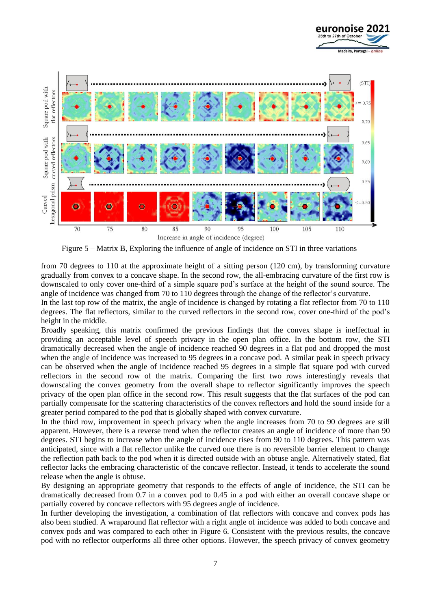



Figure 5 – Matrix B, Exploring the influence of angle of incidence on STI in three variations

from 70 degrees to 110 at the approximate height of a sitting person (120 cm), by transforming curvature gradually from convex to a concave shape. In the second row, the all-embracing curvature of the first row is downscaled to only cover one-third of a simple square pod's surface at the height of the sound source. The angle of incidence was changed from 70 to 110 degrees through the change of the reflector's curvature.

In the last top row of the matrix, the angle of incidence is changed by rotating a flat reflector from 70 to 110 degrees. The flat reflectors, similar to the curved reflectors in the second row, cover one-third of the pod's height in the middle.

Broadly speaking, this matrix confirmed the previous findings that the convex shape is ineffectual in providing an acceptable level of speech privacy in the open plan office. In the bottom row, the STI dramatically decreased when the angle of incidence reached 90 degrees in a flat pod and dropped the most when the angle of incidence was increased to 95 degrees in a concave pod. A similar peak in speech privacy can be observed when the angle of incidence reached 95 degrees in a simple flat square pod with curved reflectors in the second row of the matrix. Comparing the first two rows interestingly reveals that downscaling the convex geometry from the overall shape to reflector significantly improves the speech privacy of the open plan office in the second row. This result suggests that the flat surfaces of the pod can partially compensate for the scattering characteristics of the convex reflectors and hold the sound inside for a greater period compared to the pod that is globally shaped with convex curvature.

In the third row, improvement in speech privacy when the angle increases from 70 to 90 degrees are still apparent. However, there is a reverse trend when the reflector creates an angle of incidence of more than 90 degrees. STI begins to increase when the angle of incidence rises from 90 to 110 degrees. This pattern was anticipated, since with a flat reflector unlike the curved one there is no reversible barrier element to change the reflection path back to the pod when it is directed outside with an obtuse angle. Alternatively stated, flat reflector lacks the embracing characteristic of the concave reflector. Instead, it tends to accelerate the sound release when the angle is obtuse.

By designing an appropriate geometry that responds to the effects of angle of incidence, the STI can be dramatically decreased from 0.7 in a convex pod to 0.45 in a pod with either an overall concave shape or partially covered by concave reflectors with 95 degrees angle of incidence.

In further developing the investigation, a combination of flat reflectors with concave and convex pods has also been studied. A wraparound flat reflector with a right angle of incidence was added to both concave and convex pods and was compared to each other in Figure 6. Consistent with the previous results, the concave pod with no reflector outperforms all three other options. However, the speech privacy of convex geometry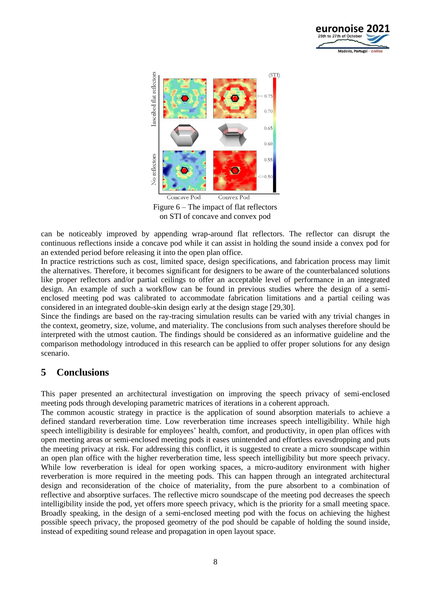



Figure 6 – The impact of flat reflectors on STI of concave and convex pod

can be noticeably improved by appending wrap-around flat reflectors. The reflector can disrupt the continuous reflections inside a concave pod while it can assist in holding the sound inside a convex pod for an extended period before releasing it into the open plan office.

In practice restrictions such as cost, limited space, design specifications, and fabrication process may limit the alternatives. Therefore, it becomes significant for designers to be aware of the counterbalanced solutions like proper reflectors and/or partial ceilings to offer an acceptable level of performance in an integrated design. An example of such a workflow can be found in previous studies where the design of a semienclosed meeting pod was calibrated to accommodate fabrication limitations and a partial ceiling was considered in an integrated double-skin design early at the design stage [29,30].

Since the findings are based on the ray-tracing simulation results can be varied with any trivial changes in the context, geometry, size, volume, and materiality. The conclusions from such analyses therefore should be interpreted with the utmost caution. The findings should be considered as an informative guideline and the comparison methodology introduced in this research can be applied to offer proper solutions for any design scenario.

## **5 Conclusions**

This paper presented an architectural investigation on improving the speech privacy of semi-enclosed meeting pods through developing parametric matrices of iterations in a coherent approach.

The common acoustic strategy in practice is the application of sound absorption materials to achieve a defined standard reverberation time. Low reverberation time increases speech intelligibility. While high speech intelligibility is desirable for employees' health, comfort, and productivity, in open plan offices with open meeting areas or semi-enclosed meeting pods it eases unintended and effortless eavesdropping and puts the meeting privacy at risk. For addressing this conflict, it is suggested to create a micro soundscape within an open plan office with the higher reverberation time, less speech intelligibility but more speech privacy. While low reverberation is ideal for open working spaces, a micro-auditory environment with higher reverberation is more required in the meeting pods. This can happen through an integrated architectural design and reconsideration of the choice of materiality, from the pure absorbent to a combination of reflective and absorptive surfaces. The reflective micro soundscape of the meeting pod decreases the speech intelligibility inside the pod, yet offers more speech privacy, which is the priority for a small meeting space. Broadly speaking, in the design of a semi-enclosed meeting pod with the focus on achieving the highest possible speech privacy, the proposed geometry of the pod should be capable of holding the sound inside, instead of expediting sound release and propagation in open layout space.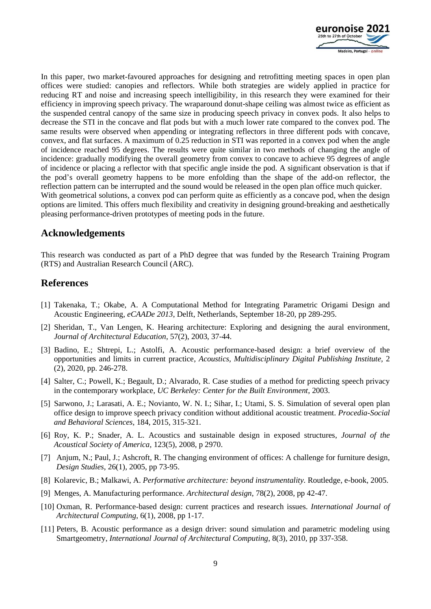

In this paper, two market-favoured approaches for designing and retrofitting meeting spaces in open plan offices were studied: canopies and reflectors. While both strategies are widely applied in practice for reducing RT and noise and increasing speech intelligibility, in this research they were examined for their efficiency in improving speech privacy. The wraparound donut-shape ceiling was almost twice as efficient as the suspended central canopy of the same size in producing speech privacy in convex pods. It also helps to decrease the STI in the concave and flat pods but with a much lower rate compared to the convex pod. The same results were observed when appending or integrating reflectors in three different pods with concave, convex, and flat surfaces. A maximum of 0.25 reduction in STI was reported in a convex pod when the angle of incidence reached 95 degrees. The results were quite similar in two methods of changing the angle of incidence: gradually modifying the overall geometry from convex to concave to achieve 95 degrees of angle of incidence or placing a reflector with that specific angle inside the pod. A significant observation is that if the pod's overall geometry happens to be more enfolding than the shape of the add-on reflector, the reflection pattern can be interrupted and the sound would be released in the open plan office much quicker. With geometrical solutions, a convex pod can perform quite as efficiently as a concave pod, when the design options are limited. This offers much flexibility and creativity in designing ground-breaking and aesthetically pleasing performance-driven prototypes of meeting pods in the future.

### **Acknowledgements**

This research was conducted as part of a PhD degree that was funded by the Research Training Program (RTS) and Australian Research Council (ARC).

### **References**

- [1] Takenaka, T.; Okabe, A. A Computational Method for Integrating Parametric Origami Design and Acoustic Engineering, *eCAADe 2013*, Delft, Netherlands, September 18-20, pp 289-295.
- [2] Sheridan, T., Van Lengen, K. Hearing architecture: Exploring and designing the aural environment, *Journal of Architectural Education*, 57(2), 2003, 37-44.
- [3] Badino, E.; Shtrepi, L.; Astolfi, A. Acoustic performance-based design: a brief overview of the opportunities and limits in current practice, *Acoustics, Multidisciplinary Digital Publishing Institute,* 2 (2), 2020, pp. 246-278.
- [4] Salter, C.; Powell, K.; Begault, D.; Alvarado, R. Case studies of a method for predicting speech privacy in the contemporary workplace, *UC Berkeley: Center for the Built Environment*, 2003.
- [5] Sarwono, J.; Larasati, A. E.; Novianto, W. N. I.; Sihar, I.; Utami, S. S. Simulation of several open plan office design to improve speech privacy condition without additional acoustic treatment. *Procedia-Social and Behavioral Sciences*, 184, 2015, 315-321.
- [6] Roy, K. P.; Snader, A. L. Acoustics and sustainable design in exposed structures, *Journal of the Acoustical Society of America,* 123(5), 2008, p 2970.
- [7] Anjum, N.; Paul, J.; Ashcroft, R. The changing environment of offices: A challenge for furniture design, *Design Studies*, 26(1), 2005, pp 73-95.
- [8] Kolarevic, B.; Malkawi, A. *Performative architecture: beyond instrumentality.* Routledge, e-book, 2005.
- [9] Menges, A. Manufacturing performance. *Architectural design*, 78(2), 2008, pp 42-47.
- [10] Oxman, R. Performance-based design: current practices and research issues. *International Journal of Architectural Computing*, 6(1), 2008, pp 1-17.
- [11] Peters, B. Acoustic performance as a design driver: sound simulation and parametric modeling using Smartgeometry, *International Journal of Architectural Computing*, 8(3), 2010, pp 337-358.